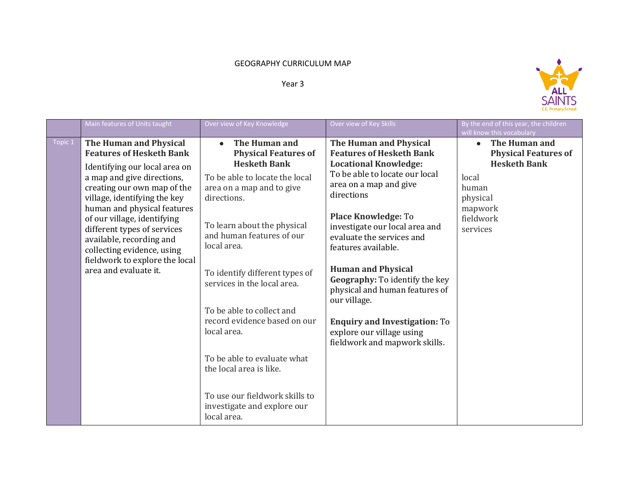## GEOGRAPHY CURRICULUM MAP

## Year 3



|         | Main features of Units taught                                                                                                                                                                                                                                                                                                                                                                             | Over view of Key Knowledge                                                                                                                                                                                                                                                                                                                                                                                                                                                                                                       | Over view of Key Skills                                                                                                                                                                                                                                                                                                                                                                                                                                                                                        | By the end of this year, the children<br>will know this vocabulary                                                                                 |
|---------|-----------------------------------------------------------------------------------------------------------------------------------------------------------------------------------------------------------------------------------------------------------------------------------------------------------------------------------------------------------------------------------------------------------|----------------------------------------------------------------------------------------------------------------------------------------------------------------------------------------------------------------------------------------------------------------------------------------------------------------------------------------------------------------------------------------------------------------------------------------------------------------------------------------------------------------------------------|----------------------------------------------------------------------------------------------------------------------------------------------------------------------------------------------------------------------------------------------------------------------------------------------------------------------------------------------------------------------------------------------------------------------------------------------------------------------------------------------------------------|----------------------------------------------------------------------------------------------------------------------------------------------------|
| Topic 1 | The Human and Physical<br><b>Features of Hesketh Bank</b><br>Identifying our local area on<br>a map and give directions,<br>creating our own map of the<br>village, identifying the key<br>human and physical features<br>of our village, identifying<br>different types of services<br>available, recording and<br>collecting evidence, using<br>fieldwork to explore the local<br>area and evaluate it. | The Human and<br>$\bullet$<br><b>Physical Features of</b><br><b>Hesketh Bank</b><br>To be able to locate the local<br>area on a map and to give<br>directions.<br>To learn about the physical<br>and human features of our<br>local area.<br>To identify different types of<br>services in the local area.<br>To be able to collect and<br>record evidence based on our<br>local area.<br>To be able to evaluate what<br>the local area is like.<br>To use our fieldwork skills to<br>investigate and explore our<br>local area. | The Human and Physical<br><b>Features of Hesketh Bank</b><br><b>Locational Knowledge:</b><br>To be able to locate our local<br>area on a map and give<br>directions<br><b>Place Knowledge: To</b><br>investigate our local area and<br>evaluate the services and<br>features available.<br><b>Human and Physical</b><br>Geography: To identify the key<br>physical and human features of<br>our village.<br><b>Enquiry and Investigation: To</b><br>explore our village using<br>fieldwork and mapwork skills. | The Human and<br>$\bullet$<br><b>Physical Features of</b><br><b>Hesketh Bank</b><br>local<br>human<br>physical<br>mapwork<br>fieldwork<br>services |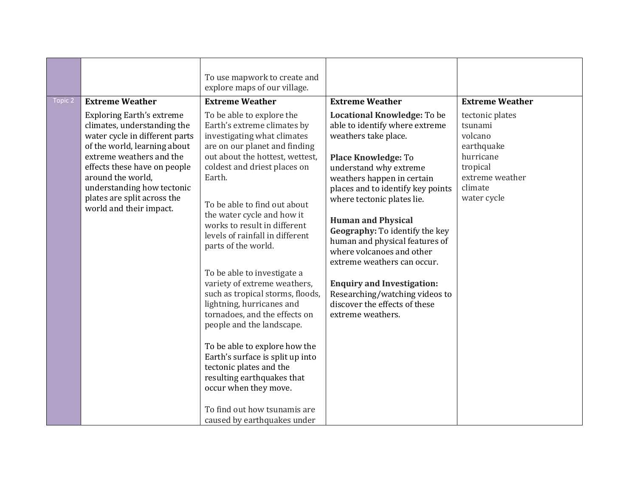| Topic 2 | <b>Extreme Weather</b>                                                                                                                                                                                                                                                                                     | To use mapwork to create and<br>explore maps of our village.<br><b>Extreme Weather</b>                                                                                                                                                                                                                                                                                                                                                                                                                                                                                                                                                                                                                                                                                            | <b>Extreme Weather</b>                                                                                                                                                                                                                                                                                                                                                                                                                                                                                                                   | <b>Extreme Weather</b>                                                                                                    |
|---------|------------------------------------------------------------------------------------------------------------------------------------------------------------------------------------------------------------------------------------------------------------------------------------------------------------|-----------------------------------------------------------------------------------------------------------------------------------------------------------------------------------------------------------------------------------------------------------------------------------------------------------------------------------------------------------------------------------------------------------------------------------------------------------------------------------------------------------------------------------------------------------------------------------------------------------------------------------------------------------------------------------------------------------------------------------------------------------------------------------|------------------------------------------------------------------------------------------------------------------------------------------------------------------------------------------------------------------------------------------------------------------------------------------------------------------------------------------------------------------------------------------------------------------------------------------------------------------------------------------------------------------------------------------|---------------------------------------------------------------------------------------------------------------------------|
|         | <b>Exploring Earth's extreme</b><br>climates, understanding the<br>water cycle in different parts<br>of the world, learning about<br>extreme weathers and the<br>effects these have on people<br>around the world,<br>understanding how tectonic<br>plates are split across the<br>world and their impact. | To be able to explore the<br>Earth's extreme climates by<br>investigating what climates<br>are on our planet and finding<br>out about the hottest, wettest,<br>coldest and driest places on<br>Earth.<br>To be able to find out about<br>the water cycle and how it<br>works to result in different<br>levels of rainfall in different<br>parts of the world.<br>To be able to investigate a<br>variety of extreme weathers,<br>such as tropical storms, floods,<br>lightning, hurricanes and<br>tornadoes, and the effects on<br>people and the landscape.<br>To be able to explore how the<br>Earth's surface is split up into<br>tectonic plates and the<br>resulting earthquakes that<br>occur when they move.<br>To find out how tsunamis are<br>caused by earthquakes under | Locational Knowledge: To be<br>able to identify where extreme<br>weathers take place.<br><b>Place Knowledge: To</b><br>understand why extreme<br>weathers happen in certain<br>places and to identify key points<br>where tectonic plates lie.<br><b>Human and Physical</b><br>Geography: To identify the key<br>human and physical features of<br>where volcanoes and other<br>extreme weathers can occur.<br><b>Enquiry and Investigation:</b><br>Researching/watching videos to<br>discover the effects of these<br>extreme weathers. | tectonic plates<br>tsunami<br>volcano<br>earthquake<br>hurricane<br>tropical<br>extreme weather<br>climate<br>water cycle |